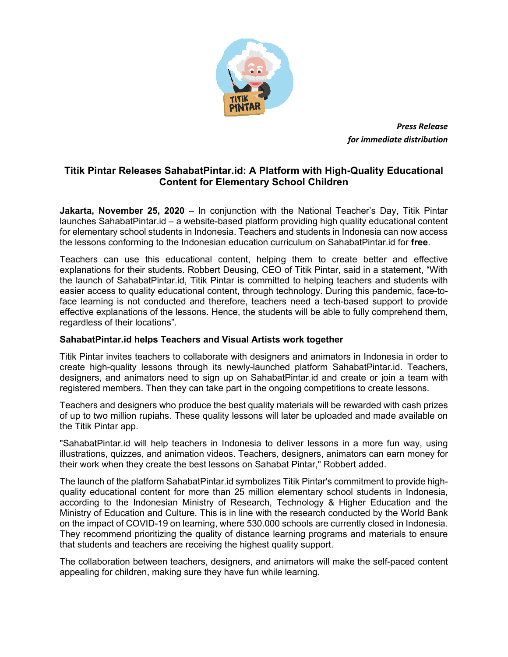

*Press Release for immediate distribution*

## **Titik Pintar Releases SahabatPintar.id: A Platform with High-Quality Educational Content for Elementary School Children**

**Jakarta, November 25, 2020** – In conjunction with the National Teacher's Day, Titik Pintar launches SahabatPintar.id – a website-based platform providing high quality educational content for elementary school students in Indonesia. Teachers and students in Indonesia can now access the lessons conforming to the Indonesian education curriculum on SahabatPintar.id for **free**.

Teachers can use this educational content, helping them to create better and effective explanations for their students. Robbert Deusing, CEO of Titik Pintar, said in a statement, "With the launch of SahabatPintar.id, Titik Pintar is committed to helping teachers and students with easier access to quality educational content, through technology. During this pandemic, face-toface learning is not conducted and therefore, teachers need a tech-based support to provide effective explanations of the lessons. Hence, the students will be able to fully comprehend them, regardless of their locations".

## **SahabatPintar.id helps Teachers and Visual Artists work together**

Titik Pintar invites teachers to collaborate with designers and animators in Indonesia in order to create high-quality lessons through its newly-launched platform SahabatPintar.id. Teachers, designers, and animators need to sign up on SahabatPintar.id and create or join a team with registered members. Then they can take part in the ongoing competitions to create lessons.

Teachers and designers who produce the best quality materials will be rewarded with cash prizes of up to two million rupiahs. These quality lessons will later be uploaded and made available on the Titik Pintar app.

"SahabatPintar.id will help teachers in Indonesia to deliver lessons in a more fun way, using illustrations, quizzes, and animation videos. Teachers, designers, animators can earn money for their work when they create the best lessons on Sahabat Pintar," Robbert added.

The launch of the platform SahabatPintar.id symbolizes Titik Pintar's commitment to provide highquality educational content for more than 25 million elementary school students in Indonesia, according to the Indonesian Ministry of Research, Technology & Higher Education and the Ministry of Education and Culture. This is in line with the research conducted by the World Bank on the impact of COVID-19 on learning, where 530.000 schools are currently closed in Indonesia. They recommend prioritizing the quality of distance learning programs and materials to ensure that students and teachers are receiving the highest quality support.

The collaboration between teachers, designers, and animators will make the self-paced content appealing for children, making sure they have fun while learning.